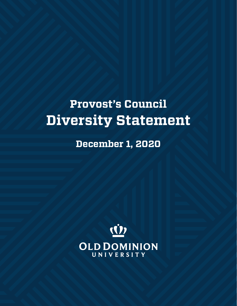## **Provost's Council Diversity Statement**

**December 1, 2020**

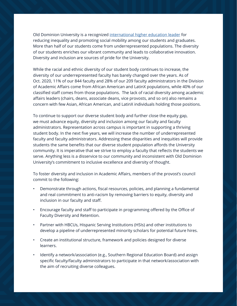Old Dominion University is a recognized [international higher education leader](https://www.timeshighereducation.com/student/best-universities/best-universities-reducing-inequalities) for reducing inequality and promoting social mobility among our students and graduates. More than half of our students come from underrepresented populations. The diversity of our students enriches our vibrant community and leads to collaborative innovation. Diversity and inclusion are sources of pride for the University.

While the racial and ethnic diversity of our student body continues to increase, the diversity of our underrepresented faculty has barely changed over the years. As of Oct. 2020, 11% of our 844 faculty and 28% of our 209 faculty administrators in the Division of Academic Affairs come from African American and LatinX populations, while 40% of our classified staff comes from those populations. The lack of racial diversity among academic affairs leaders (chairs, deans, associate deans, vice provosts, and so on) also remains a concern with few Asian, African American, and LatinX individuals holding those positions.

To continue to support our diverse student body and further close the equity gap, we must advance equity, diversity and inclusion among our faculty and faculty administrators. Representation across campus is important in supporting a thriving student body. In the next five years, we will increase the number of underrepresented faculty and faculty administrators. Addressing these disparities and inequities will provide students the same benefits that our diverse student population affords the University community. It is imperative that we strive to employ a faculty that reflects the students we serve. Anything less is a disservice to our community and inconsistent with Old Dominion University's commitment to inclusive excellence and diversity of thought.

To foster diversity and inclusion in Academic Affairs, members of the provost's council commit to the following:

- Demonstrate through actions, fiscal resources, policies, and planning a fundamental and real commitment to anti-racism by removing barriers to equity, diversity and inclusion in our faculty and staff.
- Encourage faculty and staff to participate in programming offered by the Office of Faculty Diversity and Retention.
- Partner with HBCUs, Hispanic Serving Institutions (HSIs) and other institutions to develop a pipeline of underrepresented minority scholars for potential future hires.
- Create an institutional structure, framework and policies designed for diverse learners.
- Identify a network/association (e.g., Southern Regional Education Board) and assign specific faculty/faculty administrators to participate in that network/association with the aim of recruiting diverse colleagues.